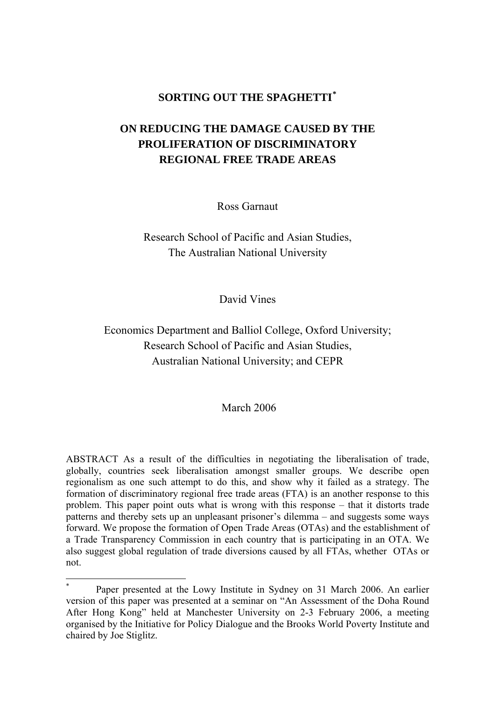## **SORTING OUT THE SPAGHETTI[\\*](#page-0-0)**

# **ON REDUCING THE DAMAGE CAUSED BY THE PROLIFERATION OF DISCRIMINATORY REGIONAL FREE TRADE AREAS**

Ross Garnaut

Research School of Pacific and Asian Studies, The Australian National University

David Vines

# Economics Department and Balliol College, Oxford University; Research School of Pacific and Asian Studies, Australian National University; and CEPR

#### March 2006

ABSTRACT As a result of the difficulties in negotiating the liberalisation of trade, globally, countries seek liberalisation amongst smaller groups. We describe open regionalism as one such attempt to do this, and show why it failed as a strategy. The formation of discriminatory regional free trade areas (FTA) is an another response to this problem. This paper point outs what is wrong with this response – that it distorts trade patterns and thereby sets up an unpleasant prisoner's dilemma – and suggests some ways forward. We propose the formation of Open Trade Areas (OTAs) and the establishment of a Trade Transparency Commission in each country that is participating in an OTA. We also suggest global regulation of trade diversions caused by all FTAs, whether OTAs or not.

 $\overline{a}$ 

<span id="page-0-0"></span><sup>\*</sup> Paper presented at the Lowy Institute in Sydney on 31 March 2006. An earlier version of this paper was presented at a seminar on "An Assessment of the Doha Round After Hong Kong" held at Manchester University on 2-3 February 2006, a meeting organised by the Initiative for Policy Dialogue and the Brooks World Poverty Institute and chaired by Joe Stiglitz.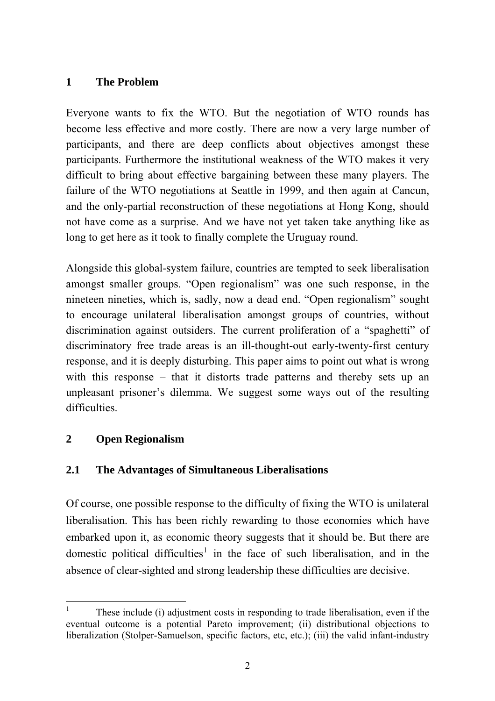## **1 The Problem**

Everyone wants to fix the WTO. But the negotiation of WTO rounds has become less effective and more costly. There are now a very large number of participants, and there are deep conflicts about objectives amongst these participants. Furthermore the institutional weakness of the WTO makes it very difficult to bring about effective bargaining between these many players. The failure of the WTO negotiations at Seattle in 1999, and then again at Cancun, and the only-partial reconstruction of these negotiations at Hong Kong, should not have come as a surprise. And we have not yet taken take anything like as long to get here as it took to finally complete the Uruguay round.

Alongside this global-system failure, countries are tempted to seek liberalisation amongst smaller groups. "Open regionalism" was one such response, in the nineteen nineties, which is, sadly, now a dead end. "Open regionalism" sought to encourage unilateral liberalisation amongst groups of countries, without discrimination against outsiders. The current proliferation of a "spaghetti" of discriminatory free trade areas is an ill-thought-out early-twenty-first century response, and it is deeply disturbing. This paper aims to point out what is wrong with this response – that it distorts trade patterns and thereby sets up an unpleasant prisoner's dilemma. We suggest some ways out of the resulting difficulties.

# **2 Open Regionalism**

# **2.1 The Advantages of Simultaneous Liberalisations**

Of course, one possible response to the difficulty of fixing the WTO is unilateral liberalisation. This has been richly rewarding to those economies which have embarked upon it, as economic theory suggests that it should be. But there are domestic political difficulties<sup>[1](#page-1-0)</sup> in the face of such liberalisation, and in the absence of clear-sighted and strong leadership these difficulties are decisive.

<span id="page-1-0"></span> 1 These include (i) adjustment costs in responding to trade liberalisation, even if the eventual outcome is a potential Pareto improvement; (ii) distributional objections to liberalization (Stolper-Samuelson, specific factors, etc, etc.); (iii) the valid infant-industry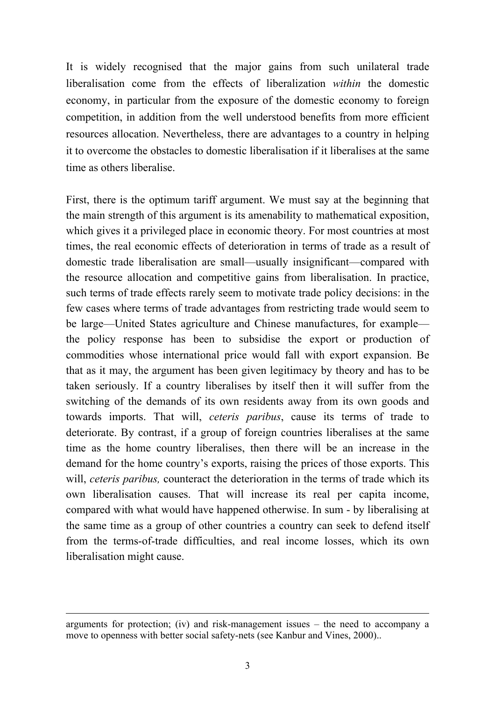It is widely recognised that the major gains from such unilateral trade liberalisation come from the effects of liberalization *within* the domestic economy, in particular from the exposure of the domestic economy to foreign competition, in addition from the well understood benefits from more efficient resources allocation. Nevertheless, there are advantages to a country in helping it to overcome the obstacles to domestic liberalisation if it liberalises at the same time as others liberalise.

First, there is the optimum tariff argument. We must say at the beginning that the main strength of this argument is its amenability to mathematical exposition, which gives it a privileged place in economic theory. For most countries at most times, the real economic effects of deterioration in terms of trade as a result of domestic trade liberalisation are small—usually insignificant—compared with the resource allocation and competitive gains from liberalisation. In practice, such terms of trade effects rarely seem to motivate trade policy decisions: in the few cases where terms of trade advantages from restricting trade would seem to be large—United States agriculture and Chinese manufactures, for example the policy response has been to subsidise the export or production of commodities whose international price would fall with export expansion. Be that as it may, the argument has been given legitimacy by theory and has to be taken seriously. If a country liberalises by itself then it will suffer from the switching of the demands of its own residents away from its own goods and towards imports. That will, *ceteris paribus*, cause its terms of trade to deteriorate. By contrast, if a group of foreign countries liberalises at the same time as the home country liberalises, then there will be an increase in the demand for the home country's exports, raising the prices of those exports. This will, *ceteris paribus,* counteract the deterioration in the terms of trade which its own liberalisation causes. That will increase its real per capita income, compared with what would have happened otherwise. In sum - by liberalising at the same time as a group of other countries a country can seek to defend itself from the terms-of-trade difficulties, and real income losses, which its own liberalisation might cause.

 $\overline{a}$ 

arguments for protection; (iv) and risk-management issues – the need to accompany a move to openness with better social safety-nets (see Kanbur and Vines, 2000)..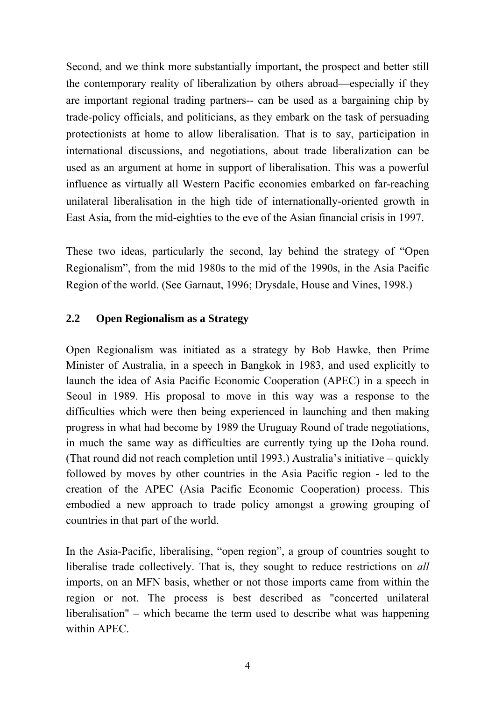Second, and we think more substantially important, the prospect and better still the contemporary reality of liberalization by others abroad—especially if they are important regional trading partners-- can be used as a bargaining chip by trade-policy officials, and politicians, as they embark on the task of persuading protectionists at home to allow liberalisation. That is to say, participation in international discussions, and negotiations, about trade liberalization can be used as an argument at home in support of liberalisation. This was a powerful influence as virtually all Western Pacific economies embarked on far-reaching unilateral liberalisation in the high tide of internationally-oriented growth in East Asia, from the mid-eighties to the eve of the Asian financial crisis in 1997.

These two ideas, particularly the second, lay behind the strategy of "Open Regionalism", from the mid 1980s to the mid of the 1990s, in the Asia Pacific Region of the world. (See Garnaut, 1996; Drysdale, House and Vines, 1998.)

### **2.2 Open Regionalism as a Strategy**

Open Regionalism was initiated as a strategy by Bob Hawke, then Prime Minister of Australia, in a speech in Bangkok in 1983, and used explicitly to launch the idea of Asia Pacific Economic Cooperation (APEC) in a speech in Seoul in 1989. His proposal to move in this way was a response to the difficulties which were then being experienced in launching and then making progress in what had become by 1989 the Uruguay Round of trade negotiations, in much the same way as difficulties are currently tying up the Doha round. (That round did not reach completion until 1993.) Australia's initiative – quickly followed by moves by other countries in the Asia Pacific region - led to the creation of the APEC (Asia Pacific Economic Cooperation) process. This embodied a new approach to trade policy amongst a growing grouping of countries in that part of the world.

In the Asia-Pacific, liberalising, "open region", a group of countries sought to liberalise trade collectively. That is, they sought to reduce restrictions on *all*  imports, on an MFN basis, whether or not those imports came from within the region or not. The process is best described as "concerted unilateral liberalisation" – which became the term used to describe what was happening within APEC.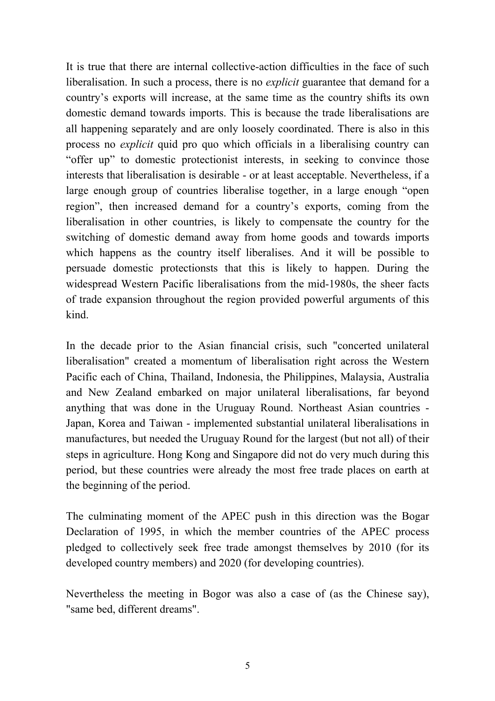It is true that there are internal collective-action difficulties in the face of such liberalisation. In such a process, there is no *explicit* guarantee that demand for a country's exports will increase, at the same time as the country shifts its own domestic demand towards imports. This is because the trade liberalisations are all happening separately and are only loosely coordinated. There is also in this process no *explicit* quid pro quo which officials in a liberalising country can "offer up" to domestic protectionist interests, in seeking to convince those interests that liberalisation is desirable - or at least acceptable. Nevertheless, if a large enough group of countries liberalise together, in a large enough "open region", then increased demand for a country's exports, coming from the liberalisation in other countries, is likely to compensate the country for the switching of domestic demand away from home goods and towards imports which happens as the country itself liberalises. And it will be possible to persuade domestic protectionsts that this is likely to happen. During the widespread Western Pacific liberalisations from the mid-1980s, the sheer facts of trade expansion throughout the region provided powerful arguments of this kind.

In the decade prior to the Asian financial crisis, such "concerted unilateral liberalisation" created a momentum of liberalisation right across the Western Pacific each of China, Thailand, Indonesia, the Philippines, Malaysia, Australia and New Zealand embarked on major unilateral liberalisations, far beyond anything that was done in the Uruguay Round. Northeast Asian countries - Japan, Korea and Taiwan - implemented substantial unilateral liberalisations in manufactures, but needed the Uruguay Round for the largest (but not all) of their steps in agriculture. Hong Kong and Singapore did not do very much during this period, but these countries were already the most free trade places on earth at the beginning of the period.

The culminating moment of the APEC push in this direction was the Bogar Declaration of 1995, in which the member countries of the APEC process pledged to collectively seek free trade amongst themselves by 2010 (for its developed country members) and 2020 (for developing countries).

Nevertheless the meeting in Bogor was also a case of (as the Chinese say), "same bed, different dreams".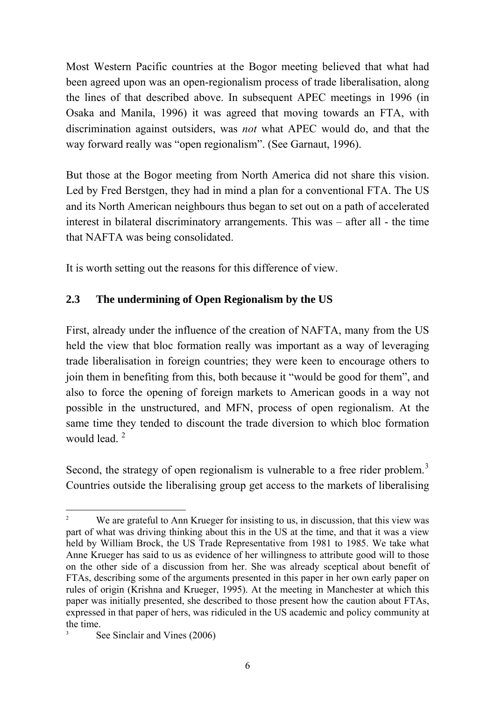Most Western Pacific countries at the Bogor meeting believed that what had been agreed upon was an open-regionalism process of trade liberalisation, along the lines of that described above. In subsequent APEC meetings in 1996 (in Osaka and Manila, 1996) it was agreed that moving towards an FTA, with discrimination against outsiders, was *not* what APEC would do, and that the way forward really was "open regionalism". (See Garnaut, 1996).

But those at the Bogor meeting from North America did not share this vision. Led by Fred Berstgen, they had in mind a plan for a conventional FTA. The US and its North American neighbours thus began to set out on a path of accelerated interest in bilateral discriminatory arrangements. This was – after all - the time that NAFTA was being consolidated.

It is worth setting out the reasons for this difference of view.

# **2.3 The undermining of Open Regionalism by the US**

First, already under the influence of the creation of NAFTA, many from the US held the view that bloc formation really was important as a way of leveraging trade liberalisation in foreign countries; they were keen to encourage others to join them in benefiting from this, both because it "would be good for them", and also to force the opening of foreign markets to American goods in a way not possible in the unstructured, and MFN, process of open regionalism. At the same time they tended to discount the trade diversion to which bloc formation would lead.<sup>[2](#page-5-0)</sup>

Second, the strategy of open regionalism is vulnerable to a free rider problem.<sup>[3](#page-5-1)</sup> Countries outside the liberalising group get access to the markets of liberalising

<span id="page-5-1"></span>3

<span id="page-5-0"></span> $\overline{a}$ 2 We are grateful to Ann Krueger for insisting to us, in discussion, that this view was part of what was driving thinking about this in the US at the time, and that it was a view held by William Brock, the US Trade Representative from 1981 to 1985. We take what Anne Krueger has said to us as evidence of her willingness to attribute good will to those on the other side of a discussion from her. She was already sceptical about benefit of FTAs, describing some of the arguments presented in this paper in her own early paper on rules of origin (Krishna and Krueger, 1995). At the meeting in Manchester at which this paper was initially presented, she described to those present how the caution about FTAs, expressed in that paper of hers, was ridiculed in the US academic and policy community at the time.

See Sinclair and Vines (2006)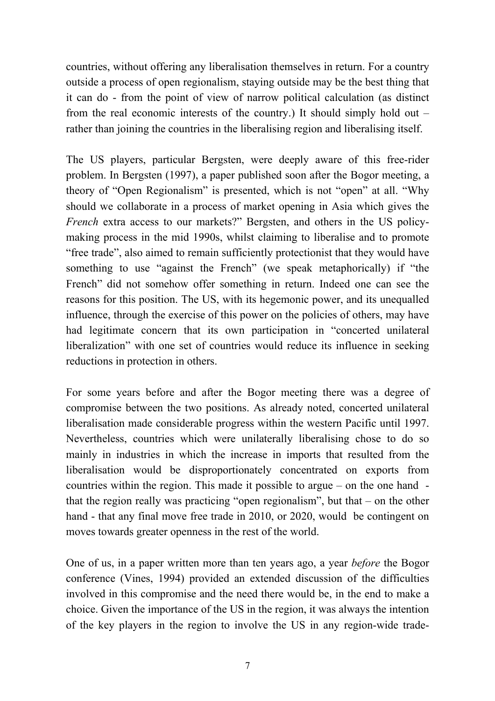countries, without offering any liberalisation themselves in return. For a country outside a process of open regionalism, staying outside may be the best thing that it can do - from the point of view of narrow political calculation (as distinct from the real economic interests of the country.) It should simply hold out – rather than joining the countries in the liberalising region and liberalising itself.

The US players, particular Bergsten, were deeply aware of this free-rider problem. In Bergsten (1997), a paper published soon after the Bogor meeting, a theory of "Open Regionalism" is presented, which is not "open" at all. "Why should we collaborate in a process of market opening in Asia which gives the *French* extra access to our markets?" Bergsten, and others in the US policymaking process in the mid 1990s, whilst claiming to liberalise and to promote "free trade", also aimed to remain sufficiently protectionist that they would have something to use "against the French" (we speak metaphorically) if "the French" did not somehow offer something in return. Indeed one can see the reasons for this position. The US, with its hegemonic power, and its unequalled influence, through the exercise of this power on the policies of others, may have had legitimate concern that its own participation in "concerted unilateral liberalization" with one set of countries would reduce its influence in seeking reductions in protection in others.

For some years before and after the Bogor meeting there was a degree of compromise between the two positions. As already noted, concerted unilateral liberalisation made considerable progress within the western Pacific until 1997. Nevertheless, countries which were unilaterally liberalising chose to do so mainly in industries in which the increase in imports that resulted from the liberalisation would be disproportionately concentrated on exports from countries within the region. This made it possible to argue – on the one hand that the region really was practicing "open regionalism", but that – on the other hand - that any final move free trade in 2010, or 2020, would be contingent on moves towards greater openness in the rest of the world.

One of us, in a paper written more than ten years ago, a year *before* the Bogor conference (Vines, 1994) provided an extended discussion of the difficulties involved in this compromise and the need there would be, in the end to make a choice. Given the importance of the US in the region, it was always the intention of the key players in the region to involve the US in any region-wide trade-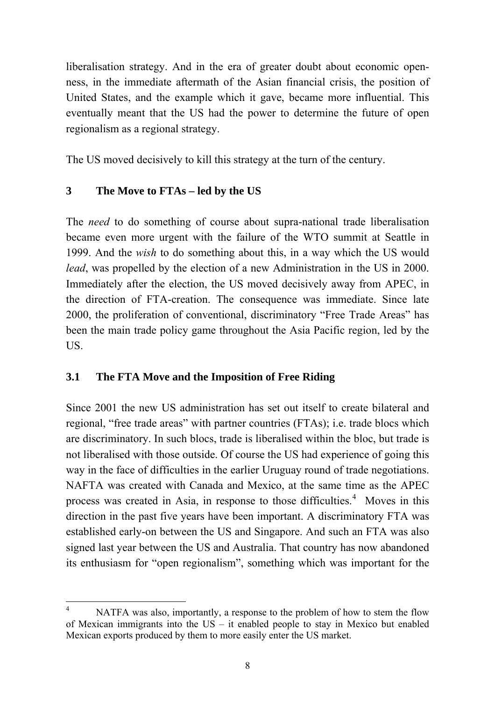liberalisation strategy. And in the era of greater doubt about economic openness, in the immediate aftermath of the Asian financial crisis, the position of United States, and the example which it gave, became more influential. This eventually meant that the US had the power to determine the future of open regionalism as a regional strategy.

The US moved decisively to kill this strategy at the turn of the century.

# **3 The Move to FTAs – led by the US**

The *need* to do something of course about supra-national trade liberalisation became even more urgent with the failure of the WTO summit at Seattle in 1999. And the *wish* to do something about this, in a way which the US would *lead*, was propelled by the election of a new Administration in the US in 2000. Immediately after the election, the US moved decisively away from APEC, in the direction of FTA-creation. The consequence was immediate. Since late 2000, the proliferation of conventional, discriminatory "Free Trade Areas" has been the main trade policy game throughout the Asia Pacific region, led by the US.

# **3.1 The FTA Move and the Imposition of Free Riding**

Since 2001 the new US administration has set out itself to create bilateral and regional, "free trade areas" with partner countries (FTAs); i.e. trade blocs which are discriminatory. In such blocs, trade is liberalised within the bloc, but trade is not liberalised with those outside. Of course the US had experience of going this way in the face of difficulties in the earlier Uruguay round of trade negotiations. NAFTA was created with Canada and Mexico, at the same time as the APEC process was created in Asia, in response to those difficulties.<sup>[4](#page-7-0)</sup> Moves in this direction in the past five years have been important. A discriminatory FTA was established early-on between the US and Singapore. And such an FTA was also signed last year between the US and Australia. That country has now abandoned its enthusiasm for "open regionalism", something which was important for the

<span id="page-7-0"></span> $\frac{1}{4}$  NATFA was also, importantly, a response to the problem of how to stem the flow of Mexican immigrants into the US – it enabled people to stay in Mexico but enabled Mexican exports produced by them to more easily enter the US market.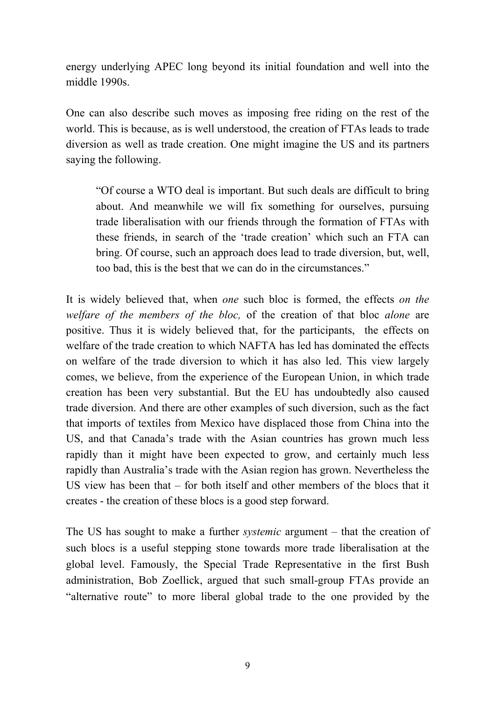energy underlying APEC long beyond its initial foundation and well into the middle 1990s.

One can also describe such moves as imposing free riding on the rest of the world. This is because, as is well understood, the creation of FTAs leads to trade diversion as well as trade creation. One might imagine the US and its partners saying the following.

"Of course a WTO deal is important. But such deals are difficult to bring about. And meanwhile we will fix something for ourselves, pursuing trade liberalisation with our friends through the formation of FTAs with these friends, in search of the 'trade creation' which such an FTA can bring. Of course, such an approach does lead to trade diversion, but, well, too bad, this is the best that we can do in the circumstances."

It is widely believed that, when *one* such bloc is formed, the effects *on the welfare of the members of the bloc,* of the creation of that bloc *alone* are positive. Thus it is widely believed that, for the participants, the effects on welfare of the trade creation to which NAFTA has led has dominated the effects on welfare of the trade diversion to which it has also led. This view largely comes, we believe, from the experience of the European Union, in which trade creation has been very substantial. But the EU has undoubtedly also caused trade diversion. And there are other examples of such diversion, such as the fact that imports of textiles from Mexico have displaced those from China into the US, and that Canada's trade with the Asian countries has grown much less rapidly than it might have been expected to grow, and certainly much less rapidly than Australia's trade with the Asian region has grown. Nevertheless the US view has been that – for both itself and other members of the blocs that it creates - the creation of these blocs is a good step forward.

The US has sought to make a further *systemic* argument – that the creation of such blocs is a useful stepping stone towards more trade liberalisation at the global level. Famously, the Special Trade Representative in the first Bush administration, Bob Zoellick, argued that such small-group FTAs provide an "alternative route" to more liberal global trade to the one provided by the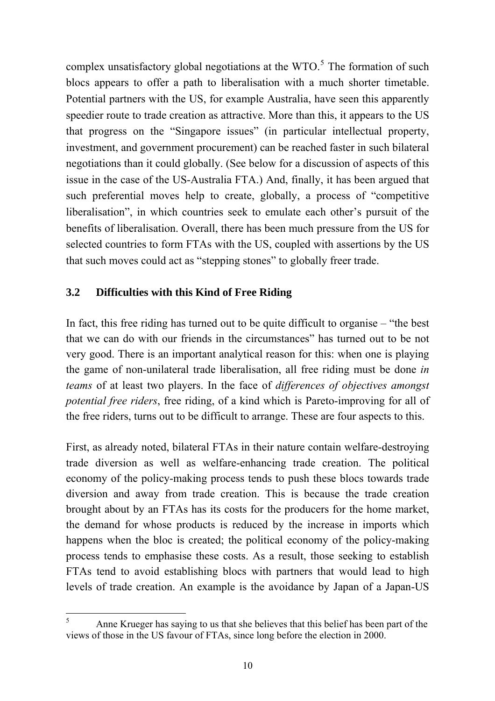complex unsatisfactory global negotiations at the  $WTO<sup>5</sup>$  $WTO<sup>5</sup>$  $WTO<sup>5</sup>$ . The formation of such blocs appears to offer a path to liberalisation with a much shorter timetable. Potential partners with the US, for example Australia, have seen this apparently speedier route to trade creation as attractive. More than this, it appears to the US that progress on the "Singapore issues" (in particular intellectual property, investment, and government procurement) can be reached faster in such bilateral negotiations than it could globally. (See below for a discussion of aspects of this issue in the case of the US-Australia FTA.) And, finally, it has been argued that such preferential moves help to create, globally, a process of "competitive liberalisation", in which countries seek to emulate each other's pursuit of the benefits of liberalisation. Overall, there has been much pressure from the US for selected countries to form FTAs with the US, coupled with assertions by the US that such moves could act as "stepping stones" to globally freer trade.

## **3.2 Difficulties with this Kind of Free Riding**

In fact, this free riding has turned out to be quite difficult to organise – "the best that we can do with our friends in the circumstances" has turned out to be not very good. There is an important analytical reason for this: when one is playing the game of non-unilateral trade liberalisation, all free riding must be done *in teams* of at least two players. In the face of *differences of objectives amongst potential free riders*, free riding, of a kind which is Pareto-improving for all of the free riders, turns out to be difficult to arrange. These are four aspects to this.

First, as already noted, bilateral FTAs in their nature contain welfare-destroying trade diversion as well as welfare-enhancing trade creation. The political economy of the policy-making process tends to push these blocs towards trade diversion and away from trade creation. This is because the trade creation brought about by an FTAs has its costs for the producers for the home market, the demand for whose products is reduced by the increase in imports which happens when the bloc is created; the political economy of the policy-making process tends to emphasise these costs. As a result, those seeking to establish FTAs tend to avoid establishing blocs with partners that would lead to high levels of trade creation. An example is the avoidance by Japan of a Japan-US

<span id="page-9-0"></span> $\frac{1}{5}$  Anne Krueger has saying to us that she believes that this belief has been part of the views of those in the US favour of FTAs, since long before the election in 2000.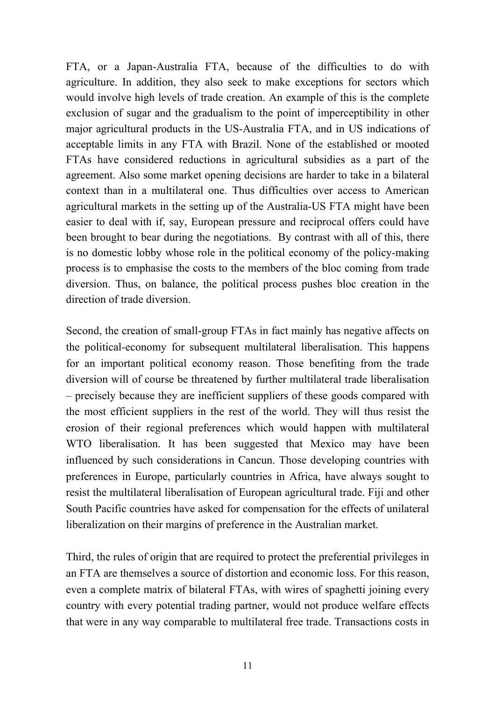FTA, or a Japan-Australia FTA, because of the difficulties to do with agriculture. In addition, they also seek to make exceptions for sectors which would involve high levels of trade creation. An example of this is the complete exclusion of sugar and the gradualism to the point of imperceptibility in other major agricultural products in the US-Australia FTA, and in US indications of acceptable limits in any FTA with Brazil. None of the established or mooted FTAs have considered reductions in agricultural subsidies as a part of the agreement. Also some market opening decisions are harder to take in a bilateral context than in a multilateral one. Thus difficulties over access to American agricultural markets in the setting up of the Australia-US FTA might have been easier to deal with if, say, European pressure and reciprocal offers could have been brought to bear during the negotiations. By contrast with all of this, there is no domestic lobby whose role in the political economy of the policy-making process is to emphasise the costs to the members of the bloc coming from trade diversion. Thus, on balance, the political process pushes bloc creation in the direction of trade diversion.

Second, the creation of small-group FTAs in fact mainly has negative affects on the political-economy for subsequent multilateral liberalisation. This happens for an important political economy reason. Those benefiting from the trade diversion will of course be threatened by further multilateral trade liberalisation – precisely because they are inefficient suppliers of these goods compared with the most efficient suppliers in the rest of the world. They will thus resist the erosion of their regional preferences which would happen with multilateral WTO liberalisation. It has been suggested that Mexico may have been influenced by such considerations in Cancun. Those developing countries with preferences in Europe, particularly countries in Africa, have always sought to resist the multilateral liberalisation of European agricultural trade. Fiji and other South Pacific countries have asked for compensation for the effects of unilateral liberalization on their margins of preference in the Australian market.

Third, the rules of origin that are required to protect the preferential privileges in an FTA are themselves a source of distortion and economic loss. For this reason, even a complete matrix of bilateral FTAs, with wires of spaghetti joining every country with every potential trading partner, would not produce welfare effects that were in any way comparable to multilateral free trade. Transactions costs in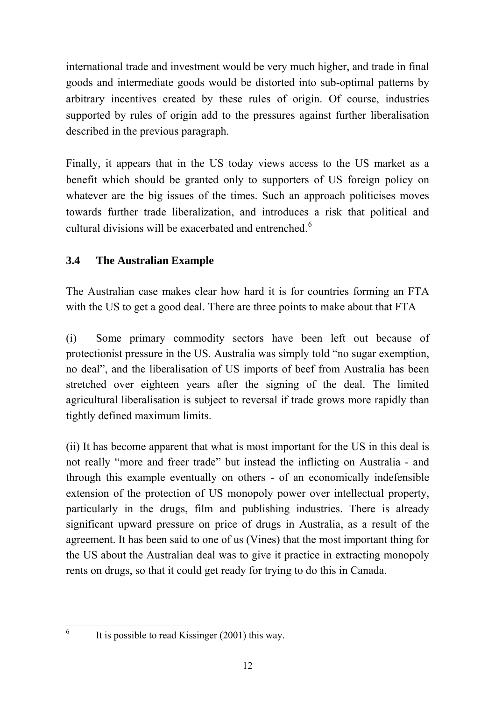international trade and investment would be very much higher, and trade in final goods and intermediate goods would be distorted into sub-optimal patterns by arbitrary incentives created by these rules of origin. Of course, industries supported by rules of origin add to the pressures against further liberalisation described in the previous paragraph.

Finally, it appears that in the US today views access to the US market as a benefit which should be granted only to supporters of US foreign policy on whatever are the big issues of the times. Such an approach politicises moves towards further trade liberalization, and introduces a risk that political and cultural divisions will be exacerbated and entrenched.<sup>[6](#page-11-0)</sup>

# **3.4 The Australian Example**

The Australian case makes clear how hard it is for countries forming an FTA with the US to get a good deal. There are three points to make about that FTA

(i) Some primary commodity sectors have been left out because of protectionist pressure in the US. Australia was simply told "no sugar exemption, no deal", and the liberalisation of US imports of beef from Australia has been stretched over eighteen years after the signing of the deal. The limited agricultural liberalisation is subject to reversal if trade grows more rapidly than tightly defined maximum limits.

(ii) It has become apparent that what is most important for the US in this deal is not really "more and freer trade" but instead the inflicting on Australia - and through this example eventually on others - of an economically indefensible extension of the protection of US monopoly power over intellectual property, particularly in the drugs, film and publishing industries. There is already significant upward pressure on price of drugs in Australia, as a result of the agreement. It has been said to one of us (Vines) that the most important thing for the US about the Australian deal was to give it practice in extracting monopoly rents on drugs, so that it could get ready for trying to do this in Canada.

<span id="page-11-0"></span>6

It is possible to read Kissinger (2001) this way.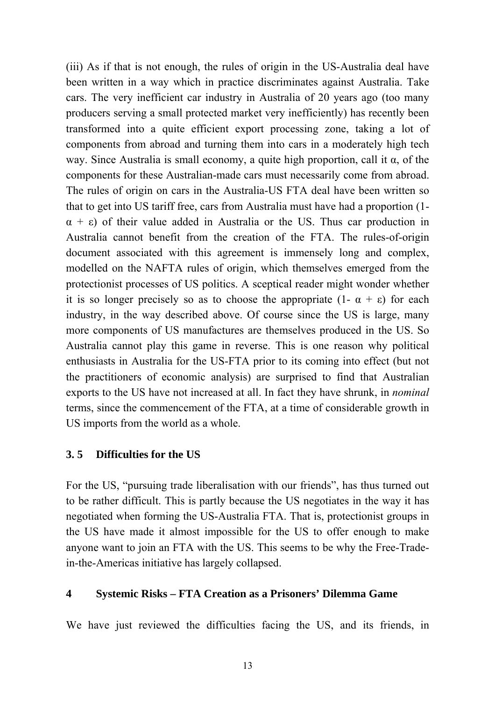(iii) As if that is not enough, the rules of origin in the US-Australia deal have been written in a way which in practice discriminates against Australia. Take cars. The very inefficient car industry in Australia of 20 years ago (too many producers serving a small protected market very inefficiently) has recently been transformed into a quite efficient export processing zone, taking a lot of components from abroad and turning them into cars in a moderately high tech way. Since Australia is small economy, a quite high proportion, call it  $\alpha$ , of the components for these Australian-made cars must necessarily come from abroad. The rules of origin on cars in the Australia-US FTA deal have been written so that to get into US tariff free, cars from Australia must have had a proportion (1-  $\alpha + \varepsilon$ ) of their value added in Australia or the US. Thus car production in Australia cannot benefit from the creation of the FTA. The rules-of-origin document associated with this agreement is immensely long and complex, modelled on the NAFTA rules of origin, which themselves emerged from the protectionist processes of US politics. A sceptical reader might wonder whether it is so longer precisely so as to choose the appropriate  $(1 - \alpha + \epsilon)$  for each industry, in the way described above. Of course since the US is large, many more components of US manufactures are themselves produced in the US. So Australia cannot play this game in reverse. This is one reason why political enthusiasts in Australia for the US-FTA prior to its coming into effect (but not the practitioners of economic analysis) are surprised to find that Australian exports to the US have not increased at all. In fact they have shrunk, in *nominal* terms, since the commencement of the FTA, at a time of considerable growth in US imports from the world as a whole.

### **3. 5 Difficulties for the US**

For the US, "pursuing trade liberalisation with our friends", has thus turned out to be rather difficult. This is partly because the US negotiates in the way it has negotiated when forming the US-Australia FTA. That is, protectionist groups in the US have made it almost impossible for the US to offer enough to make anyone want to join an FTA with the US. This seems to be why the Free-Tradein-the-Americas initiative has largely collapsed.

#### **4 Systemic Risks – FTA Creation as a Prisoners' Dilemma Game**

We have just reviewed the difficulties facing the US, and its friends, in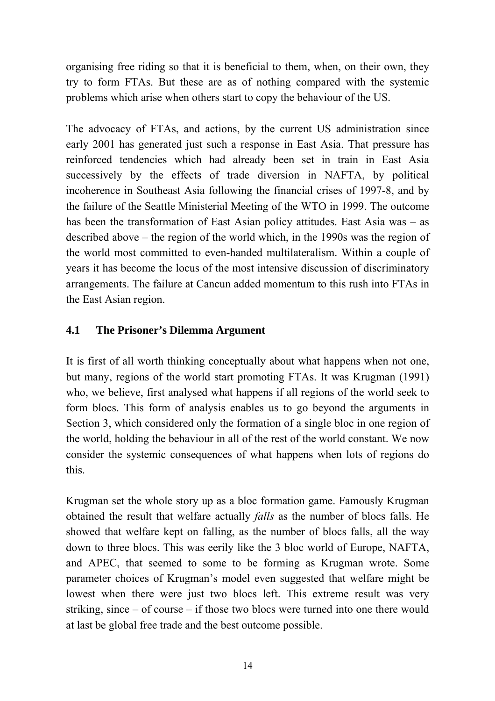organising free riding so that it is beneficial to them, when, on their own, they try to form FTAs. But these are as of nothing compared with the systemic problems which arise when others start to copy the behaviour of the US.

The advocacy of FTAs, and actions, by the current US administration since early 2001 has generated just such a response in East Asia. That pressure has reinforced tendencies which had already been set in train in East Asia successively by the effects of trade diversion in NAFTA, by political incoherence in Southeast Asia following the financial crises of 1997-8, and by the failure of the Seattle Ministerial Meeting of the WTO in 1999. The outcome has been the transformation of East Asian policy attitudes. East Asia was – as described above – the region of the world which, in the 1990s was the region of the world most committed to even-handed multilateralism. Within a couple of years it has become the locus of the most intensive discussion of discriminatory arrangements. The failure at Cancun added momentum to this rush into FTAs in the East Asian region.

## **4.1 The Prisoner's Dilemma Argument**

It is first of all worth thinking conceptually about what happens when not one, but many, regions of the world start promoting FTAs. It was Krugman (1991) who, we believe, first analysed what happens if all regions of the world seek to form blocs. This form of analysis enables us to go beyond the arguments in Section 3, which considered only the formation of a single bloc in one region of the world, holding the behaviour in all of the rest of the world constant. We now consider the systemic consequences of what happens when lots of regions do this.

Krugman set the whole story up as a bloc formation game. Famously Krugman obtained the result that welfare actually *falls* as the number of blocs falls. He showed that welfare kept on falling, as the number of blocs falls, all the way down to three blocs. This was eerily like the 3 bloc world of Europe, NAFTA, and APEC, that seemed to some to be forming as Krugman wrote. Some parameter choices of Krugman's model even suggested that welfare might be lowest when there were just two blocs left. This extreme result was very striking, since – of course – if those two blocs were turned into one there would at last be global free trade and the best outcome possible.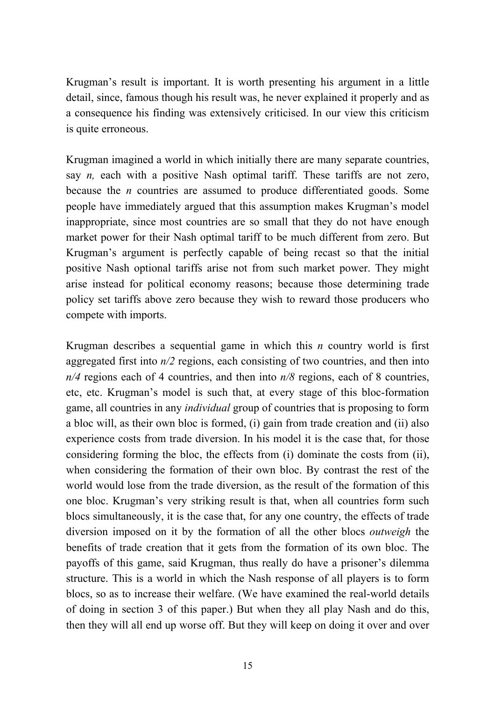Krugman's result is important. It is worth presenting his argument in a little detail, since, famous though his result was, he never explained it properly and as a consequence his finding was extensively criticised. In our view this criticism is quite erroneous.

Krugman imagined a world in which initially there are many separate countries, say *n,* each with a positive Nash optimal tariff. These tariffs are not zero, because the *n* countries are assumed to produce differentiated goods. Some people have immediately argued that this assumption makes Krugman's model inappropriate, since most countries are so small that they do not have enough market power for their Nash optimal tariff to be much different from zero. But Krugman's argument is perfectly capable of being recast so that the initial positive Nash optional tariffs arise not from such market power. They might arise instead for political economy reasons; because those determining trade policy set tariffs above zero because they wish to reward those producers who compete with imports.

Krugman describes a sequential game in which this *n* country world is first aggregated first into *n/2* regions, each consisting of two countries, and then into *n/4* regions each of 4 countries, and then into *n/8* regions, each of 8 countries, etc, etc. Krugman's model is such that, at every stage of this bloc-formation game, all countries in any *individual* group of countries that is proposing to form a bloc will, as their own bloc is formed, (i) gain from trade creation and (ii) also experience costs from trade diversion. In his model it is the case that, for those considering forming the bloc, the effects from (i) dominate the costs from (ii), when considering the formation of their own bloc. By contrast the rest of the world would lose from the trade diversion, as the result of the formation of this one bloc. Krugman's very striking result is that, when all countries form such blocs simultaneously, it is the case that, for any one country, the effects of trade diversion imposed on it by the formation of all the other blocs *outweigh* the benefits of trade creation that it gets from the formation of its own bloc. The payoffs of this game, said Krugman, thus really do have a prisoner's dilemma structure. This is a world in which the Nash response of all players is to form blocs, so as to increase their welfare. (We have examined the real-world details of doing in section 3 of this paper.) But when they all play Nash and do this, then they will all end up worse off. But they will keep on doing it over and over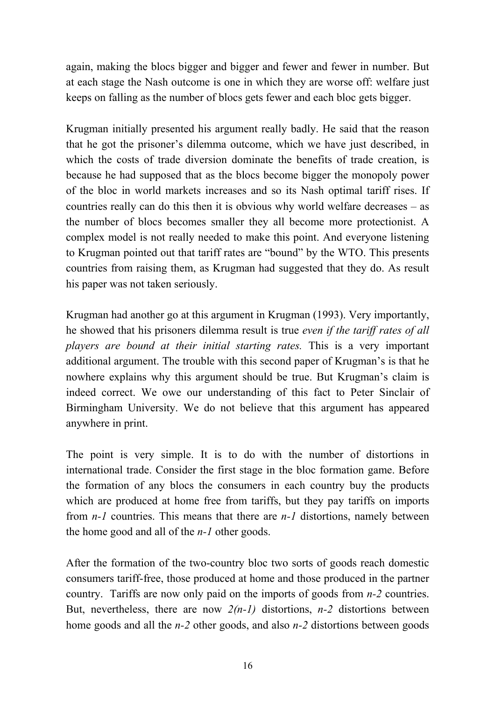again, making the blocs bigger and bigger and fewer and fewer in number. But at each stage the Nash outcome is one in which they are worse off: welfare just keeps on falling as the number of blocs gets fewer and each bloc gets bigger.

Krugman initially presented his argument really badly. He said that the reason that he got the prisoner's dilemma outcome, which we have just described, in which the costs of trade diversion dominate the benefits of trade creation, is because he had supposed that as the blocs become bigger the monopoly power of the bloc in world markets increases and so its Nash optimal tariff rises. If countries really can do this then it is obvious why world welfare decreases – as the number of blocs becomes smaller they all become more protectionist. A complex model is not really needed to make this point. And everyone listening to Krugman pointed out that tariff rates are "bound" by the WTO. This presents countries from raising them, as Krugman had suggested that they do. As result his paper was not taken seriously.

Krugman had another go at this argument in Krugman (1993). Very importantly, he showed that his prisoners dilemma result is true *even if the tariff rates of all players are bound at their initial starting rates.* This is a very important additional argument. The trouble with this second paper of Krugman's is that he nowhere explains why this argument should be true. But Krugman's claim is indeed correct. We owe our understanding of this fact to Peter Sinclair of Birmingham University. We do not believe that this argument has appeared anywhere in print.

The point is very simple. It is to do with the number of distortions in international trade. Consider the first stage in the bloc formation game. Before the formation of any blocs the consumers in each country buy the products which are produced at home free from tariffs, but they pay tariffs on imports from *n-1* countries. This means that there are *n-1* distortions, namely between the home good and all of the *n-1* other goods.

After the formation of the two-country bloc two sorts of goods reach domestic consumers tariff-free, those produced at home and those produced in the partner country. Tariffs are now only paid on the imports of goods from *n-2* countries. But, nevertheless, there are now *2(n-1)* distortions, *n-2* distortions between home goods and all the *n-2* other goods, and also *n-2* distortions between goods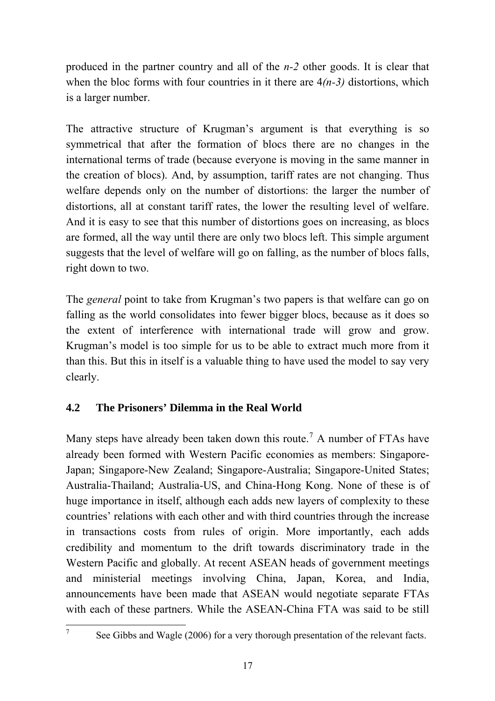produced in the partner country and all of the *n-2* other goods. It is clear that when the bloc forms with four countries in it there are  $4(n-3)$  distortions, which is a larger number.

The attractive structure of Krugman's argument is that everything is so symmetrical that after the formation of blocs there are no changes in the international terms of trade (because everyone is moving in the same manner in the creation of blocs). And, by assumption, tariff rates are not changing. Thus welfare depends only on the number of distortions: the larger the number of distortions, all at constant tariff rates, the lower the resulting level of welfare. And it is easy to see that this number of distortions goes on increasing, as blocs are formed, all the way until there are only two blocs left. This simple argument suggests that the level of welfare will go on falling, as the number of blocs falls, right down to two.

The *general* point to take from Krugman's two papers is that welfare can go on falling as the world consolidates into fewer bigger blocs, because as it does so the extent of interference with international trade will grow and grow. Krugman's model is too simple for us to be able to extract much more from it than this. But this in itself is a valuable thing to have used the model to say very clearly.

# **4.2 The Prisoners' Dilemma in the Real World**

Many steps have already been taken down this route.<sup>[7](#page-16-0)</sup> A number of FTAs have already been formed with Western Pacific economies as members: Singapore-Japan; Singapore-New Zealand; Singapore-Australia; Singapore-United States; Australia-Thailand; Australia-US, and China-Hong Kong. None of these is of huge importance in itself, although each adds new layers of complexity to these countries' relations with each other and with third countries through the increase in transactions costs from rules of origin. More importantly, each adds credibility and momentum to the drift towards discriminatory trade in the Western Pacific and globally. At recent ASEAN heads of government meetings and ministerial meetings involving China, Japan, Korea, and India, announcements have been made that ASEAN would negotiate separate FTAs with each of these partners. While the ASEAN-China FTA was said to be still

<span id="page-16-0"></span>7

See Gibbs and Wagle (2006) for a very thorough presentation of the relevant facts.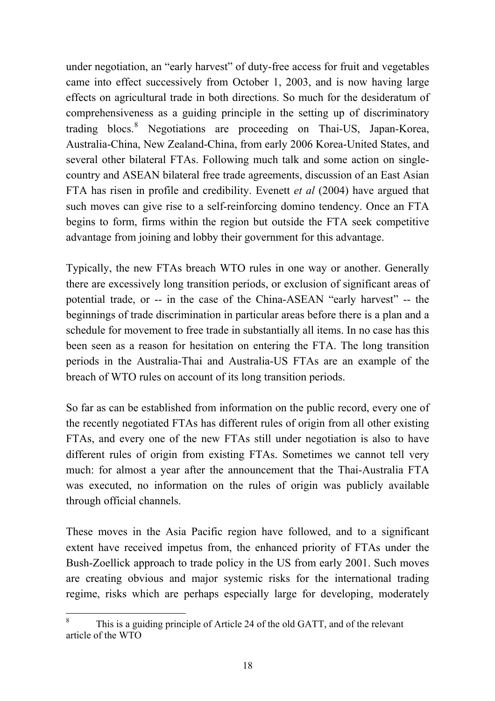under negotiation, an "early harvest" of duty-free access for fruit and vegetables came into effect successively from October 1, 2003, and is now having large effects on agricultural trade in both directions. So much for the desideratum of comprehensiveness as a guiding principle in the setting up of discriminatory trading blocs.<sup>[8](#page-17-0)</sup> Negotiations are proceeding on Thai-US, Japan-Korea, Australia-China, New Zealand-China, from early 2006 Korea-United States, and several other bilateral FTAs. Following much talk and some action on singlecountry and ASEAN bilateral free trade agreements, discussion of an East Asian FTA has risen in profile and credibility. Evenett *et al* (2004) have argued that such moves can give rise to a self-reinforcing domino tendency. Once an FTA begins to form, firms within the region but outside the FTA seek competitive advantage from joining and lobby their government for this advantage.

Typically, the new FTAs breach WTO rules in one way or another. Generally there are excessively long transition periods, or exclusion of significant areas of potential trade, or -- in the case of the China-ASEAN "early harvest" -- the beginnings of trade discrimination in particular areas before there is a plan and a schedule for movement to free trade in substantially all items. In no case has this been seen as a reason for hesitation on entering the FTA. The long transition periods in the Australia-Thai and Australia-US FTAs are an example of the breach of WTO rules on account of its long transition periods.

So far as can be established from information on the public record, every one of the recently negotiated FTAs has different rules of origin from all other existing FTAs, and every one of the new FTAs still under negotiation is also to have different rules of origin from existing FTAs. Sometimes we cannot tell very much: for almost a year after the announcement that the Thai-Australia FTA was executed, no information on the rules of origin was publicly available through official channels.

These moves in the Asia Pacific region have followed, and to a significant extent have received impetus from, the enhanced priority of FTAs under the Bush-Zoellick approach to trade policy in the US from early 2001. Such moves are creating obvious and major systemic risks for the international trading regime, risks which are perhaps especially large for developing, moderately

<span id="page-17-0"></span> 8 This is a guiding principle of Article 24 of the old GATT, and of the relevant article of the WTO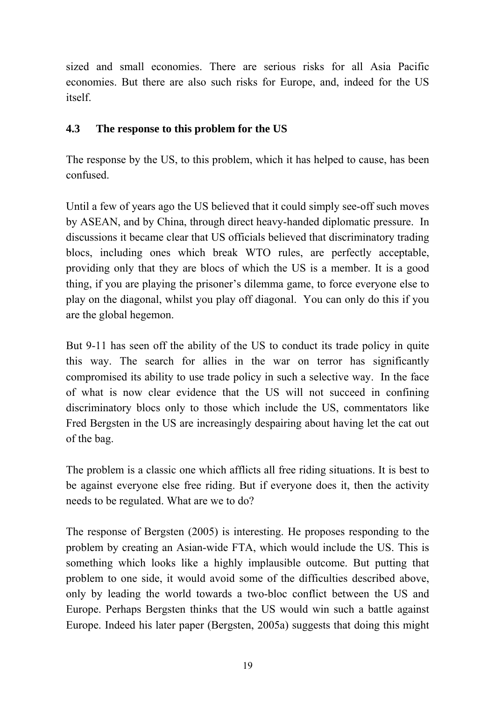sized and small economies. There are serious risks for all Asia Pacific economies. But there are also such risks for Europe, and, indeed for the US itself.

# **4.3 The response to this problem for the US**

The response by the US, to this problem, which it has helped to cause, has been confused.

Until a few of years ago the US believed that it could simply see-off such moves by ASEAN, and by China, through direct heavy-handed diplomatic pressure. In discussions it became clear that US officials believed that discriminatory trading blocs, including ones which break WTO rules, are perfectly acceptable, providing only that they are blocs of which the US is a member. It is a good thing, if you are playing the prisoner's dilemma game, to force everyone else to play on the diagonal, whilst you play off diagonal. You can only do this if you are the global hegemon.

But 9-11 has seen off the ability of the US to conduct its trade policy in quite this way. The search for allies in the war on terror has significantly compromised its ability to use trade policy in such a selective way. In the face of what is now clear evidence that the US will not succeed in confining discriminatory blocs only to those which include the US, commentators like Fred Bergsten in the US are increasingly despairing about having let the cat out of the bag.

The problem is a classic one which afflicts all free riding situations. It is best to be against everyone else free riding. But if everyone does it, then the activity needs to be regulated. What are we to do?

The response of Bergsten (2005) is interesting. He proposes responding to the problem by creating an Asian-wide FTA, which would include the US. This is something which looks like a highly implausible outcome. But putting that problem to one side, it would avoid some of the difficulties described above, only by leading the world towards a two-bloc conflict between the US and Europe. Perhaps Bergsten thinks that the US would win such a battle against Europe. Indeed his later paper (Bergsten, 2005a) suggests that doing this might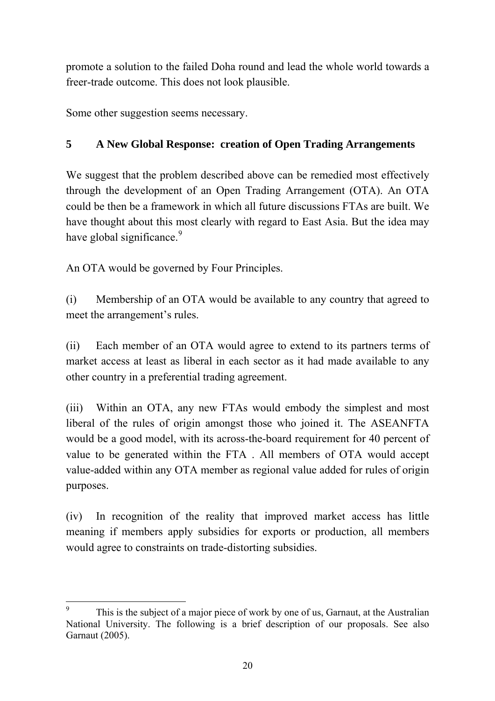promote a solution to the failed Doha round and lead the whole world towards a freer-trade outcome. This does not look plausible.

Some other suggestion seems necessary.

# **5 A New Global Response: creation of Open Trading Arrangements**

We suggest that the problem described above can be remedied most effectively through the development of an Open Trading Arrangement (OTA). An OTA could be then be a framework in which all future discussions FTAs are built. We have thought about this most clearly with regard to East Asia. But the idea may have global significance.<sup>[9](#page-19-0)</sup>

An OTA would be governed by Four Principles.

(i) Membership of an OTA would be available to any country that agreed to meet the arrangement's rules.

(ii) Each member of an OTA would agree to extend to its partners terms of market access at least as liberal in each sector as it had made available to any other country in a preferential trading agreement.

(iii) Within an OTA, any new FTAs would embody the simplest and most liberal of the rules of origin amongst those who joined it. The ASEANFTA would be a good model, with its across-the-board requirement for 40 percent of value to be generated within the FTA . All members of OTA would accept value-added within any OTA member as regional value added for rules of origin purposes.

(iv) In recognition of the reality that improved market access has little meaning if members apply subsidies for exports or production, all members would agree to constraints on trade-distorting subsidies.

<span id="page-19-0"></span><sup>&</sup>lt;sup>9</sup> This is the subject of a major piece of work by one of us, Garnaut, at the Australian National University. The following is a brief description of our proposals. See also Garnaut (2005).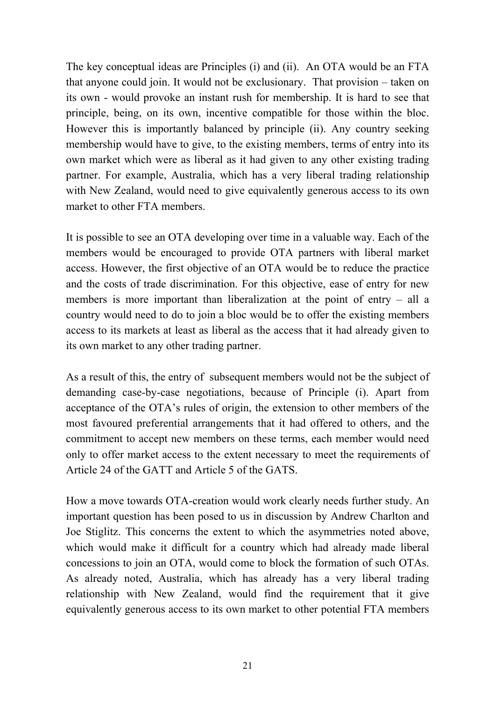The key conceptual ideas are Principles (i) and (ii). An OTA would be an FTA that anyone could join. It would not be exclusionary. That provision – taken on its own - would provoke an instant rush for membership. It is hard to see that principle, being, on its own, incentive compatible for those within the bloc. However this is importantly balanced by principle (ii). Any country seeking membership would have to give, to the existing members, terms of entry into its own market which were as liberal as it had given to any other existing trading partner. For example, Australia, which has a very liberal trading relationship with New Zealand, would need to give equivalently generous access to its own market to other FTA members.

It is possible to see an OTA developing over time in a valuable way. Each of the members would be encouraged to provide OTA partners with liberal market access. However, the first objective of an OTA would be to reduce the practice and the costs of trade discrimination. For this objective, ease of entry for new members is more important than liberalization at the point of entry – all a country would need to do to join a bloc would be to offer the existing members access to its markets at least as liberal as the access that it had already given to its own market to any other trading partner.

As a result of this, the entry of subsequent members would not be the subject of demanding case-by-case negotiations, because of Principle (i). Apart from acceptance of the OTA's rules of origin, the extension to other members of the most favoured preferential arrangements that it had offered to others, and the commitment to accept new members on these terms, each member would need only to offer market access to the extent necessary to meet the requirements of Article 24 of the GATT and Article 5 of the GATS.

How a move towards OTA-creation would work clearly needs further study. An important question has been posed to us in discussion by Andrew Charlton and Joe Stiglitz. This concerns the extent to which the asymmetries noted above, which would make it difficult for a country which had already made liberal concessions to join an OTA, would come to block the formation of such OTAs. As already noted, Australia, which has already has a very liberal trading relationship with New Zealand, would find the requirement that it give equivalently generous access to its own market to other potential FTA members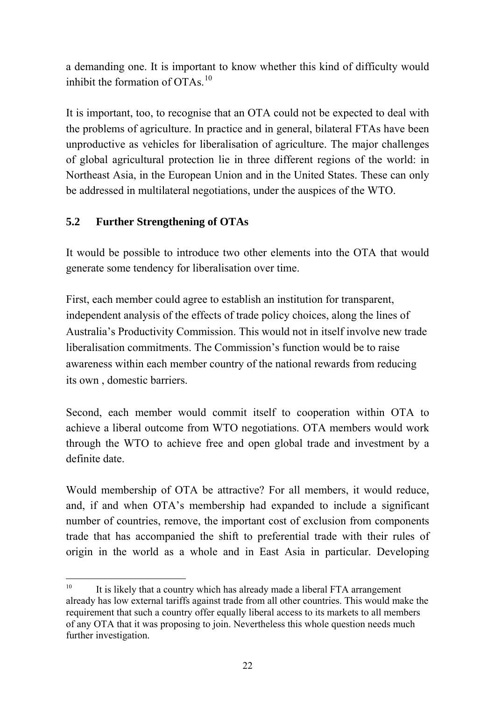a demanding one. It is important to know whether this kind of difficulty would inhibit the formation of  $OTAs$ <sup>[10](#page-21-0)</sup>

It is important, too, to recognise that an OTA could not be expected to deal with the problems of agriculture. In practice and in general, bilateral FTAs have been unproductive as vehicles for liberalisation of agriculture. The major challenges of global agricultural protection lie in three different regions of the world: in Northeast Asia, in the European Union and in the United States. These can only be addressed in multilateral negotiations, under the auspices of the WTO.

# **5.2 Further Strengthening of OTAs**

It would be possible to introduce two other elements into the OTA that would generate some tendency for liberalisation over time.

First, each member could agree to establish an institution for transparent, independent analysis of the effects of trade policy choices, along the lines of Australia's Productivity Commission. This would not in itself involve new trade liberalisation commitments. The Commission's function would be to raise awareness within each member country of the national rewards from reducing its own , domestic barriers.

Second, each member would commit itself to cooperation within OTA to achieve a liberal outcome from WTO negotiations. OTA members would work through the WTO to achieve free and open global trade and investment by a definite date.

Would membership of OTA be attractive? For all members, it would reduce, and, if and when OTA's membership had expanded to include a significant number of countries, remove, the important cost of exclusion from components trade that has accompanied the shift to preferential trade with their rules of origin in the world as a whole and in East Asia in particular. Developing

<span id="page-21-0"></span> $10<sup>10</sup>$ It is likely that a country which has already made a liberal FTA arrangement already has low external tariffs against trade from all other countries. This would make the requirement that such a country offer equally liberal access to its markets to all members of any OTA that it was proposing to join. Nevertheless this whole question needs much further investigation.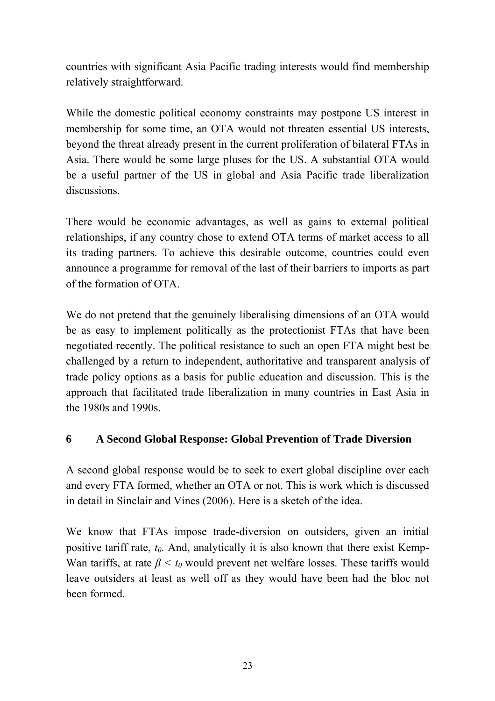countries with significant Asia Pacific trading interests would find membership relatively straightforward.

While the domestic political economy constraints may postpone US interest in membership for some time, an OTA would not threaten essential US interests, beyond the threat already present in the current proliferation of bilateral FTAs in Asia. There would be some large pluses for the US. A substantial OTA would be a useful partner of the US in global and Asia Pacific trade liberalization discussions.

There would be economic advantages, as well as gains to external political relationships, if any country chose to extend OTA terms of market access to all its trading partners. To achieve this desirable outcome, countries could even announce a programme for removal of the last of their barriers to imports as part of the formation of OTA.

We do not pretend that the genuinely liberalising dimensions of an OTA would be as easy to implement politically as the protectionist FTAs that have been negotiated recently. The political resistance to such an open FTA might best be challenged by a return to independent, authoritative and transparent analysis of trade policy options as a basis for public education and discussion. This is the approach that facilitated trade liberalization in many countries in East Asia in the 1980s and 1990s.

# **6 A Second Global Response: Global Prevention of Trade Diversion**

A second global response would be to seek to exert global discipline over each and every FTA formed, whether an OTA or not. This is work which is discussed in detail in Sinclair and Vines (2006). Here is a sketch of the idea.

We know that FTAs impose trade-diversion on outsiders, given an initial positive tariff rate,  $t_0$ . And, analytically it is also known that there exist Kemp-Wan tariffs, at rate  $\beta \le t_0$  would prevent net welfare losses. These tariffs would leave outsiders at least as well off as they would have been had the bloc not been formed.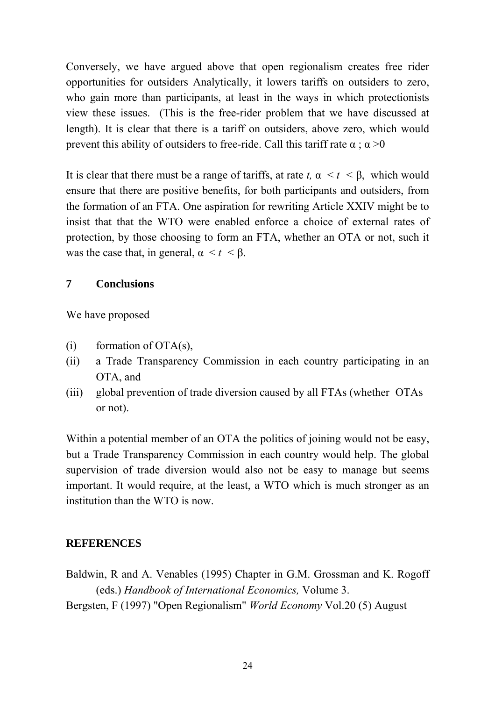Conversely, we have argued above that open regionalism creates free rider opportunities for outsiders Analytically, it lowers tariffs on outsiders to zero, who gain more than participants, at least in the ways in which protectionists view these issues. (This is the free-rider problem that we have discussed at length). It is clear that there is a tariff on outsiders, above zero, which would prevent this ability of outsiders to free-ride. Call this tariff rate  $\alpha$  ;  $\alpha > 0$ 

It is clear that there must be a range of tariffs, at rate  $t$ ,  $\alpha < t < \beta$ , which would ensure that there are positive benefits, for both participants and outsiders, from the formation of an FTA. One aspiration for rewriting Article XXIV might be to insist that that the WTO were enabled enforce a choice of external rates of protection, by those choosing to form an FTA, whether an OTA or not, such it was the case that, in general,  $\alpha < t < \beta$ .

#### **7 Conclusions**

We have proposed

- $(i)$  formation of OTA(s),
- (ii) a Trade Transparency Commission in each country participating in an OTA, and
- (iii) global prevention of trade diversion caused by all FTAs (whether OTAs or not).

Within a potential member of an OTA the politics of joining would not be easy, but a Trade Transparency Commission in each country would help. The global supervision of trade diversion would also not be easy to manage but seems important. It would require, at the least, a WTO which is much stronger as an institution than the WTO is now.

#### **REFERENCES**

Baldwin, R and A. Venables (1995) Chapter in G.M. Grossman and K. Rogoff (eds.) *Handbook of International Economics,* Volume 3.

Bergsten, F (1997) "Open Regionalism" *World Economy* Vol.20 (5) August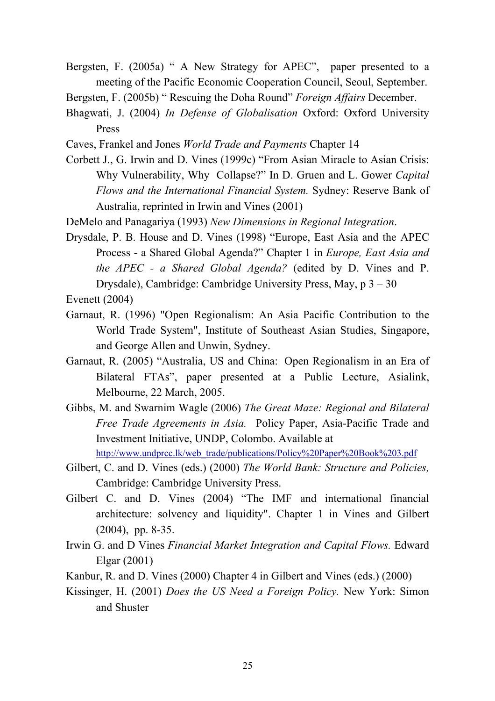- Bergsten, F. (2005a) " A New Strategy for APEC", paper presented to a meeting of the Pacific Economic Cooperation Council, Seoul, September.
- Bergsten, F. (2005b) " Rescuing the Doha Round" *Foreign Affairs* December.
- Bhagwati, J. (2004) *In Defense of Globalisation* Oxford: Oxford University Press
- Caves, Frankel and Jones *World Trade and Payments* Chapter 14
- Corbett J., G. Irwin and D. Vines (1999c) "From Asian Miracle to Asian Crisis: Why Vulnerability, Why Collapse?" In D. Gruen and L. Gower *Capital Flows and the International Financial System.* Sydney: Reserve Bank of Australia, reprinted in Irwin and Vines (2001)
- DeMelo and Panagariya (1993) *New Dimensions in Regional Integration*.
- Drysdale, P. B. House and D. Vines (1998) "Europe, East Asia and the APEC Process - a Shared Global Agenda?" Chapter 1 in *Europe, East Asia and the APEC - a Shared Global Agenda?* (edited by D. Vines and P. Drysdale), Cambridge: Cambridge University Press, May, p 3 – 30

Evenett (2004)

- Garnaut, R. (1996) "Open Regionalism: An Asia Pacific Contribution to the World Trade System", Institute of Southeast Asian Studies, Singapore, and George Allen and Unwin, Sydney.
- Garnaut, R. (2005) "Australia, US and China: Open Regionalism in an Era of Bilateral FTAs", paper presented at a Public Lecture, Asialink, Melbourne, 22 March, 2005.
- Gibbs, M. and Swarnim Wagle (2006) *The Great Maze: Regional and Bilateral Free Trade Agreements in Asia.* Policy Paper, Asia-Pacific Trade and Investment Initiative, UNDP, Colombo. Available at

[http://www.undprcc.lk/web\\_trade/publications/Policy%20Paper%20Book%203.pdf](http://www.undprcc.lk/web_trade/publications/Policy%20Paper%20Book%203.pdf)

- Gilbert, C. and D. Vines (eds.) (2000) *The World Bank: Structure and Policies,*  Cambridge: Cambridge University Press.
- Gilbert C. and D. Vines (2004) "The IMF and international financial architecture: solvency and liquidity". Chapter 1 in Vines and Gilbert (2004), pp. 8-35.
- Irwin G. and D Vines *Financial Market Integration and Capital Flows.* Edward Elgar (2001)
- Kanbur, R. and D. Vines (2000) Chapter 4 in Gilbert and Vines (eds.) (2000)
- Kissinger, H. (2001) *Does the US Need a Foreign Policy.* New York: Simon and Shuster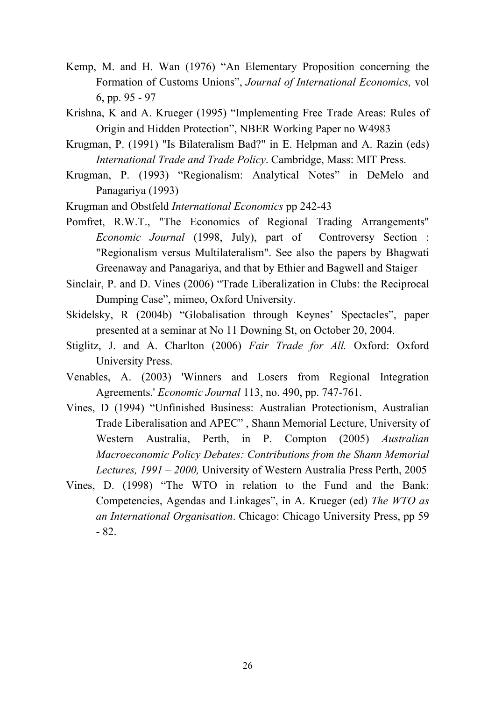- Kemp, M. and H. Wan (1976) "An Elementary Proposition concerning the Formation of Customs Unions", *Journal of International Economics,* vol 6, pp. 95 - 97
- Krishna, K and A. Krueger (1995) "Implementing Free Trade Areas: Rules of Origin and Hidden Protection", NBER Working Paper no W4983
- Krugman, P. (1991) "Is Bilateralism Bad?" in E. Helpman and A. Razin (eds) *International Trade and Trade Policy*. Cambridge, Mass: MIT Press.
- Krugman, P. (1993) "Regionalism: Analytical Notes" in DeMelo and Panagariya (1993)
- Krugman and Obstfeld *International Economics* pp 242-43
- Pomfret, R.W.T., "The Economics of Regional Trading Arrangements" *Economic Journal* (1998, July), part of Controversy Section : "Regionalism versus Multilateralism". See also the papers by Bhagwati Greenaway and Panagariya, and that by Ethier and Bagwell and Staiger
- Sinclair, P. and D. Vines (2006) "Trade Liberalization in Clubs: the Reciprocal Dumping Case", mimeo, Oxford University.
- Skidelsky, R (2004b) "Globalisation through Keynes' Spectacles", paper presented at a seminar at No 11 Downing St, on October 20, 2004.
- Stiglitz, J. and A. Charlton (2006) *Fair Trade for All.* Oxford: Oxford University Press.
- Venables, A. (2003) 'Winners and Losers from Regional Integration Agreements.' *Economic Journal* 113, no. 490, pp. 747-761.
- Vines, D (1994) "Unfinished Business: Australian Protectionism, Australian Trade Liberalisation and APEC" , Shann Memorial Lecture, University of Western Australia, Perth, in P. Compton (2005) *Australian Macroeconomic Policy Debates: Contributions from the Shann Memorial Lectures, 1991 – 2000,* University of Western Australia Press Perth, 2005
- Vines, D. (1998) "The WTO in relation to the Fund and the Bank: Competencies, Agendas and Linkages", in A. Krueger (ed) *The WTO as an International Organisation*. Chicago: Chicago University Press, pp 59 - 82.